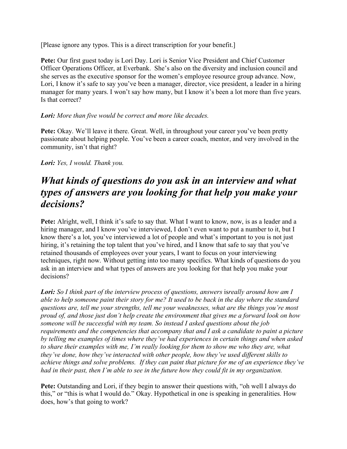[Please ignore any typos. This is a direct transcription for your benefit.]

**Pete:** Our first guest today is Lori Day. Lori is Senior Vice President and Chief Customer Officer Operations Officer, at Everbank. She's also on the diversity and inclusion council and she serves as the executive sponsor for the women's employee resource group advance. Now, Lori, I know it's safe to say you've been a manager, director, vice president, a leader in a hiring manager for many years. I won't say how many, but I know it's been a lot more than five years. Is that correct?

#### *Lori: More than five would be correct and more like decades.*

**Pete:** Okay. We'll leave it there. Great. Well, in throughout your career you've been pretty passionate about helping people. You've been a career coach, mentor, and very involved in the community, isn't that right?

#### *Lori: Yes, I would. Thank you.*

### *What kinds of questions do you ask in an interview and what types of answers are you looking for that help you make your decisions?*

Pete: Alright, well, I think it's safe to say that. What I want to know, now, is as a leader and a hiring manager, and I know you've interviewed, I don't even want to put a number to it, but I know there's a lot, you've interviewed a lot of people and what's important to you is not just hiring, it's retaining the top talent that you've hired, and I know that safe to say that you've retained thousands of employees over your years, I want to focus on your interviewing techniques, right now. Without getting into too many specifics. What kinds of questions do you ask in an interview and what types of answers are you looking for that help you make your decisions?

*Lori: So I think part of the interview process of questions, answers* is*really around how am I able to help someone paint their story for me? It used to be back in the day where the standard questions are, tell me your strengths, tell me your weaknesses, what are the things you're most proud of, and those just don't help create the environment that gives me a forward look on how someone will be successful with my team. So instead I asked questions about the job requirements and the competencies that accompany that and I ask a candidate to paint a picture by telling me examples of times where they've had experiences in certain things and when asked to share their examples with me, I'm really looking for them to show me who they are, what they've done, how they've interacted with other people, how they've used different skills to achieve things and solve problems. If they can paint that picture for me of an experience they've had in their past, then I'm able to see in the future how they could fit in my organization.*

**Pete:** Outstanding and Lori, if they begin to answer their questions with, "oh well I always do this," or "this is what I would do." Okay. Hypothetical in one is speaking in generalities. How does, how's that going to work?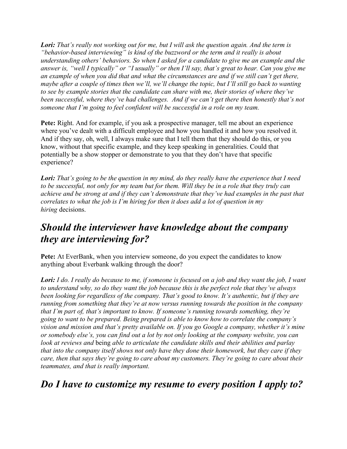*Lori: That's really not working out for me, but I will ask the question again. And the term is "behavior-based interviewing" is kind of the buzzword or the term and it really is about understanding others' behaviors. So when I asked for a candidate to give me an example and the answer is, "well I typically" or "I usually" or then I'll say, that's great to hear. Can you give me an example of when you did that and what the circumstances are and if we still can't get there, maybe after a couple of times then we'll, we'll change the topic, but I'll still go back to wanting to see by example stories that the candidate can share with me, their stories of where they've been successful, where they've had challenges. And if we can't get there then honestly that's not someone that I'm going to feel confident will be successful in a role on my team.*

**Pete:** Right. And for example, if you ask a prospective manager, tell me about an experience where you've dealt with a difficult employee and how you handled it and how you resolved it. And if they say, oh, well, I always make sure that I tell them that they should do this, or you know, without that specific example, and they keep speaking in generalities. Could that potentially be a show stopper or demonstrate to you that they don't have that specific experience?

*Lori: That's going to be the question in my mind, do they really have the experience that I need to be successful, not only for my team but for them. Will they be in a role that they truly can achieve and be strong at and if they can't demonstrate that they've had examples in the past that correlates to what the job is I'm hiring for then it does add a lot of question in my hiring* decisions.

## *Should the interviewer have knowledge about the company they are interviewing for?*

Pete: At EverBank, when you interview someone, do you expect the candidates to know anything about Everbank walking through the door?

*Lori: I do. I really do because to me, if someone is focused on a job and they want the job, I want to understand why, so do they want the job because this is the perfect role that they've always been looking for regardless of the company. That's good to know. It's authentic, but if they are running from something that they're at now versus running towards the position in the company that I'm part of, that's important to know. If someone's running towards something, they're going to want to be prepared. Being prepared is able to know how to correlate the company's vision and mission and that's pretty available on. If you go Google a company, whether it's mine or somebody else's, you can find out a lot by not only looking at the company website, you can look at reviews and* being *able to articulate the candidate skills and their abilities and parlay that into the company itself shows not only have they done their homework, but they care if they care, then that says they're going to care about my customers. They're going to care about their teammates, and that is really important.*

### *Do I have to customize my resume to every position I apply to?*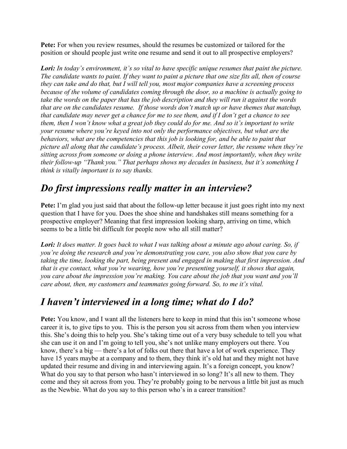**Pete:** For when you review resumes, should the resumes be customized or tailored for the position or should people just write one resume and send it out to all prospective employers?

*Lori: In today's environment, it's so vital to have specific unique resumes that paint the picture. The candidate wants to paint. If they want to paint a picture that one size fits all, then of course they can take and do that, but I will tell you, most major companies have a screening process because of the volume of candidates coming through the door, so a machine is actually going to take the words on the paper that has the job description and they will run it against the words that are on the candidates resume. If those words don't match up or have themes that matchup, that candidate may never get a chance for me to see them, and if I don't get a chance to see them, then I won't know what a great job they could do for me. And so it's important to write your resume where you're keyed into not only the performance objectives, but what are the behaviors, what are the competencies that this job is looking for, and be able to paint that picture all along that the candidate's process. Albeit, their cover letter, the resume when they're sitting across from someone or doing a phone interview. And most importantly, when they write their follow-up "Thank you." That perhaps shows my decades in business, but it's something I think is vitally important is to say thanks.*

# *Do first impressions really matter in an interview?*

**Pete:** I'm glad you just said that about the follow-up letter because it just goes right into my next question that I have for you. Does the shoe shine and handshakes still means something for a prospective employer? Meaning that first impression looking sharp, arriving on time, which seems to be a little bit difficult for people now who all still matter?

*Lori: It does matter. It goes back to what I was talking about a minute ago about caring. So, if you're doing the research and you're demonstrating you care, you also show that you care by taking the time, looking the part, being present and engaged in making that first impression. And that is eye contact, what you're wearing, how you're presenting yourself, it shows that again, you care about the impression you're making. You care about the job that you want and you'll care about, then, my customers and teammates going forward. So, to me it's vital.*

## *I haven't interviewed in a long time; what do I do?*

**Pete:** You know, and I want all the listeners here to keep in mind that this isn't someone whose career it is, to give tips to you. This is the person you sit across from them when you interview this. She's doing this to help you. She's taking time out of a very busy schedule to tell you what she can use it on and I'm going to tell you, she's not unlike many employers out there. You know, there's a big — there's a lot of folks out there that have a lot of work experience. They have 15 years maybe at a company and to them, they think it's old hat and they might not have updated their resume and diving in and interviewing again. It's a foreign concept, you know? What do you say to that person who hasn't interviewed in so long? It's all new to them. They come and they sit across from you. They're probably going to be nervous a little bit just as much as the Newbie. What do you say to this person who's in a career transition?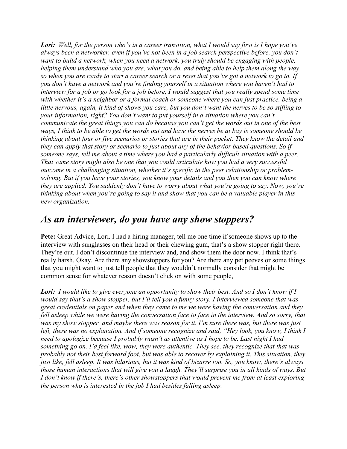*Lori: Well, for the person who's in a career transition, what I would say first is I hope you've always been a networker, even if you've not been in a job search perspective before, you don't*  want to build a network, when you need a network, you truly should be engaging with people, *helping them understand who you are, what you do, and being able to help them along the way so when you are ready to start a career search or a reset that you've got a network to go to. If you don't have a network and you're finding yourself in a situation where you haven't had to interview for a job or go look for a job before, I would suggest that you really spend some time with whether it's a neighbor or a formal coach or someone where you can just practice, being a little nervous, again, it kind of shows you care, but you don't want the nerves to be so stifling to your information, right? You don't want to put yourself in a situation where you can't communicate the great things you can do because you can't get the words out in one of the best ways, I think to be able to get the words out and have the nerves be at bay is someone should be thinking about four or five scenarios or stories that are in their pocket. They know the detail and they can apply that story or scenario to just about any of the behavior based questions. So if*  someone says, tell me about a time where you had a particularly difficult situation with a peer. *That same story might also be one that you could articulate how you had a very successful outcome in a challenging situation, whether it's specific to the peer relationship or problemsolving. But if you have your stories, you know your details and you then you can know where they are applied. You suddenly don't have to worry about what you're going to say. Now, you're thinking about when you're going to say it and show that you can be a valuable player in this new organization.*

#### *As an interviewer, do you have any show stoppers?*

**Pete:** Great Advice, Lori. I had a hiring manager, tell me one time if someone shows up to the interview with sunglasses on their head or their chewing gum, that's a show stopper right there. They're out. I don't discontinue the interview and, and show them the door now. I think that's really harsh. Okay. Are there any showstoppers for you? Are there any pet peeves or some things that you might want to just tell people that they wouldn't normally consider that might be common sense for whatever reason doesn't click on with some people,

*Lori: I would like to give everyone an opportunity to show their best. And so I don't know if I would say that's a show stopper, but I'll tell you a funny story. I interviewed someone that was great credentials on paper and when they came to me we were having the conversation and they*  fell asleep while we were having the conversation face to face in the interview. And so sorry, that *was my show stopper, and maybe there was reason for it. I'm sure there was, but there was just*  left, there was no explanation. And if someone recognize and said, "Hey look, you know, I think I *need to apologize because I probably wasn't as attentive as I hope to be. Last night I had something go on. I'd feel like, wow, they were authentic. They see, they recognize that that was probably not their best forward foot, but was able to recover by explaining it. This situation, they just like, fell asleep. It was hilarious, but it was kind of bizarre too. So, you know, there's always those human interactions that will give you a laugh. They'll surprise you in all kinds of ways. But I don't know if there's, there's other showstoppers that would prevent me from at least exploring the person who is interested in the job I had besides falling asleep.*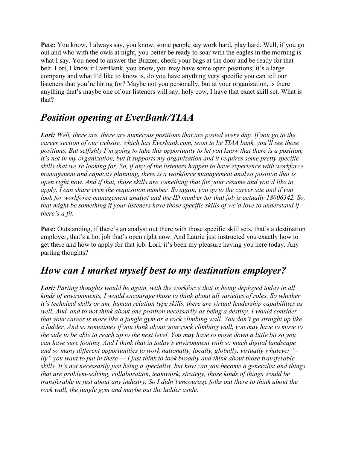**Pete:** You know, I always say, you know, some people say work hard, play hard. Well, if you go out and who with the owls at night, you better be ready to soar with the eagles in the morning is what I say. You need to answer the Buzzer, check your bags at the door and be ready for that belt. Lori, I know it EverBank, you know, you may have some open positions; it's a large company and what I'd like to know is, do you have anything very specific you can tell our listeners that you're hiring for? Maybe not you personally, but at your organization, is there anything that's maybe one of our listeners will say, holy cow, I have that exact skill set. What is that?

### *Position opening at EverBank/TIAA*

*Lori: Well, there are, there are numerous positions that are posted every day. If you go to the career section of our website, which has Everbank.com, soon to be TIAA bank, you'll see those positions. But selfishly I'm going to take this opportunity to let you know that there is a position, it's not in my organization, but it supports my organization and it requires some pretty specific skills that we're looking for. So, if any of the listeners happen to have experience with workforce management and capacity planning, there is a workforce management analyst position that is open right now. And if that, those skills are something that fits your resume and you'd like to apply, I can share even the requisition number. So again, you go to the career site and if you look for workforce management analyst and the ID number for that job is actually 18006342. So, that might be something if your listeners have those specific skills of we'd love to understand if there's a fit.*

**Pete:** Outstanding, if there's an analyst out there with those specific skill sets, that's a destination employer, that's a hot job that's open right now. And Laurie just instructed you exactly how to get there and how to apply for that job. Lori, it's been my pleasure having you here today. Any parting thoughts?

#### *How can I market myself best to my destination employer?*

*Lori: Parting thoughts would be again, with the workforce that is being deployed today in all kinds of environments, I would encourage those to think about all varieties of roles. So whether it's technical skills or um, human relation type skills, there are virtual leadership capabilities as*  well. And, and to not think about one position necessarily as being a destiny. I would consider *that your career is more like a jungle gym or a rock climbing wall. You don't go straight up like a ladder. And so sometimes if you think about your rock climbing wall, you may have to move to the side to be able to reach up to the next level. You may have to move down a little bit so you can have sure footing. And I think that in today's environment with so much digital landscape and so many different opportunities to work nationally, locally, globally, virtually whatever " lly" you want to put in there — I just think to look broadly and think about those transferable skills. It's not necessarily just being a specialist, but how can you become a generalist and things that are problem-solving, collaboration, teamwork, strategy, those kinds of things would be transferable in just about any industry. So I didn't encourage folks out there to think about the rock wall, the jungle gym and maybe put the ladder aside.*